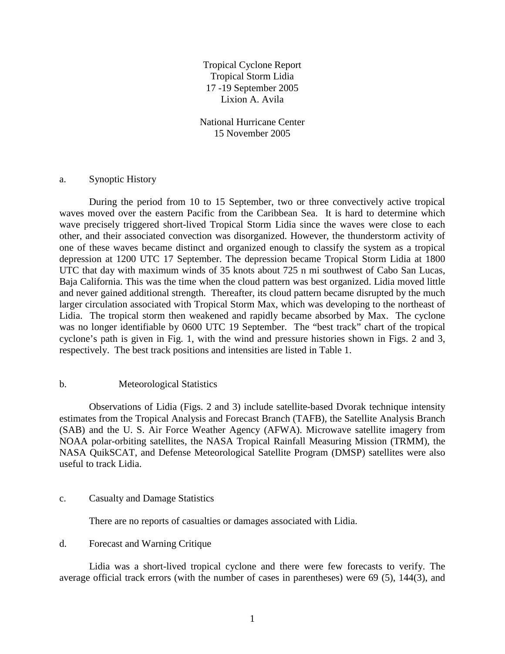Tropical Cyclone Report Tropical Storm Lidia 17 -19 September 2005 Lixion A. Avila

National Hurricane Center 15 November 2005

## a. Synoptic History

During the period from 10 to 15 September, two or three convectively active tropical waves moved over the eastern Pacific from the Caribbean Sea. It is hard to determine which wave precisely triggered short-lived Tropical Storm Lidia since the waves were close to each other, and their associated convection was disorganized. However, the thunderstorm activity of one of these waves became distinct and organized enough to classify the system as a tropical depression at 1200 UTC 17 September. The depression became Tropical Storm Lidia at 1800 UTC that day with maximum winds of 35 knots about 725 n mi southwest of Cabo San Lucas, Baja California. This was the time when the cloud pattern was best organized. Lidia moved little and never gained additional strength. Thereafter, its cloud pattern became disrupted by the much larger circulation associated with Tropical Storm Max, which was developing to the northeast of Lidia. The tropical storm then weakened and rapidly became absorbed by Max. The cyclone was no longer identifiable by 0600 UTC 19 September. The "best track" chart of the tropical cyclone's path is given in Fig. 1, with the wind and pressure histories shown in Figs. 2 and 3, respectively. The best track positions and intensities are listed in Table 1.

## b. Meteorological Statistics

 Observations of Lidia (Figs. 2 and 3) include satellite-based Dvorak technique intensity estimates from the Tropical Analysis and Forecast Branch (TAFB), the Satellite Analysis Branch (SAB) and the U. S. Air Force Weather Agency (AFWA). Microwave satellite imagery from NOAA polar-orbiting satellites, the NASA Tropical Rainfall Measuring Mission (TRMM), the NASA QuikSCAT, and Defense Meteorological Satellite Program (DMSP) satellites were also useful to track Lidia.

## c. Casualty and Damage Statistics

There are no reports of casualties or damages associated with Lidia.

## d. Forecast and Warning Critique

 Lidia was a short-lived tropical cyclone and there were few forecasts to verify. The average official track errors (with the number of cases in parentheses) were 69 (5), 144(3), and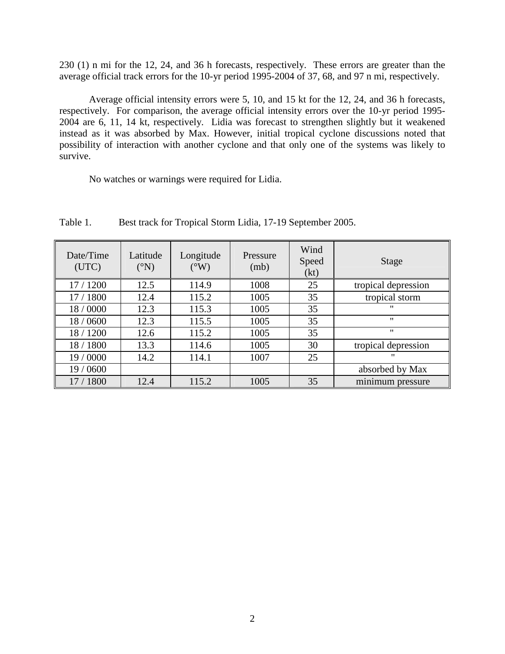230 (1) n mi for the 12, 24, and 36 h forecasts, respectively. These errors are greater than the average official track errors for the 10-yr period 1995-2004 of 37, 68, and 97 n mi, respectively.

 Average official intensity errors were 5, 10, and 15 kt for the 12, 24, and 36 h forecasts, respectively. For comparison, the average official intensity errors over the 10-yr period 1995- 2004 are 6, 11, 14 kt, respectively. Lidia was forecast to strengthen slightly but it weakened instead as it was absorbed by Max. However, initial tropical cyclone discussions noted that possibility of interaction with another cyclone and that only one of the systems was likely to survive.

No watches or warnings were required for Lidia.

| Date/Time<br>(UTC) | Latitude<br>$({}^{\circ}N)$ | Longitude<br>$(^{\circ}W)$ | Pressure<br>(mb) | Wind<br>Speed<br>(kt) | Stage               |
|--------------------|-----------------------------|----------------------------|------------------|-----------------------|---------------------|
| 17 / 1200          | 12.5                        | 114.9                      | 1008             | 25                    | tropical depression |
| 17 / 1800          | 12.4                        | 115.2                      | 1005             | 35                    | tropical storm      |
| 18/0000            | 12.3                        | 115.3                      | 1005             | 35                    | "                   |
| 18 / 0600          | 12.3                        | 115.5                      | 1005             | 35                    | $^{\prime\prime}$   |
| 18 / 1200          | 12.6                        | 115.2                      | 1005             | 35                    | $^{\prime\prime}$   |
| 18 / 1800          | 13.3                        | 114.6                      | 1005             | 30                    | tropical depression |
| 19 / 0000          | 14.2                        | 114.1                      | 1007             | 25                    | $^{\prime\prime}$   |
| 19 / 0600          |                             |                            |                  |                       | absorbed by Max     |
| 17 / 1800          | 12.4                        | 115.2                      | 1005             | 35                    | minimum pressure    |

Table 1. Best track for Tropical Storm Lidia, 17-19 September 2005.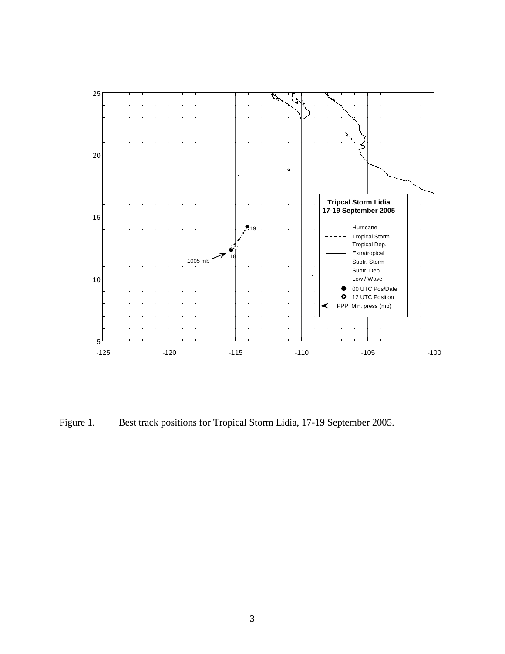

Figure 1. Best track positions for Tropical Storm Lidia, 17-19 September 2005.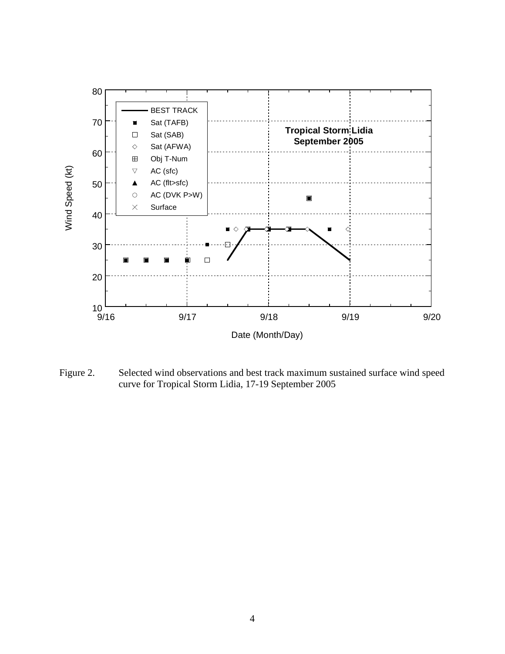

Figure 2. Selected wind observations and best track maximum sustained surface wind speed curve for Tropical Storm Lidia, 17-19 September 2005